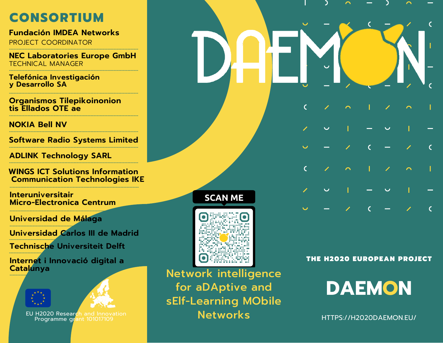#### **CONSORTIUM**

**Fundación IMDEA Networks** PROJECT COORDINATOR

**NEC Laboratories Europe GmbH** TECHNICAL MANAGER **------------------------------------------------------------------------------------**

**------------------------------------------------------------------------------------**

**------------------------------------------------------------------------------------**

**Telefónica Investigación y Desarrollo SA ------------------------------------------------------------------------------------**

**Organismos Tilepikoinonion tis Ellados OTE ae**

**NOKIA Bell NV**

**Software Radio Systems Limited ------------------------------------------------------------------------------------ ------------------------------------------------------------------------------------**

**ADLINK Technology SARL**

**WINGS ICT Solutions Information Communication Technologies IKE**

**------------------------------------------------------------------------------------**

**------------------------------------------------------------------------------------**

**------------------------------------------------------------------------------------**

**Interuniversitair Micro-Electronica Centrum**

**Universidad de Málaga**

**------------------------------------------------------------------------------------ Universidad Carlos III de Madrid**

**------------------------------------------------------------------------------------ Technische Universiteit Delft**

**------------------------------------------------------------------- Internet i Innovació digital a Catalunya**

**-----------------------------------------------------------------**





EU H2020 Research and Innovation Programme grant 101017109

#### **SCAN ME**



Network intelligence for aDAptive and sElf-Learning MObile **Networks** 

THE H2020 EUROPEAN PROJECT

 $\epsilon$ 

 $\mathcal{C}$ 

**DAEMON**

[HTTPS://H2020DAEMON.EU/](https://h2020daemon.eu/)